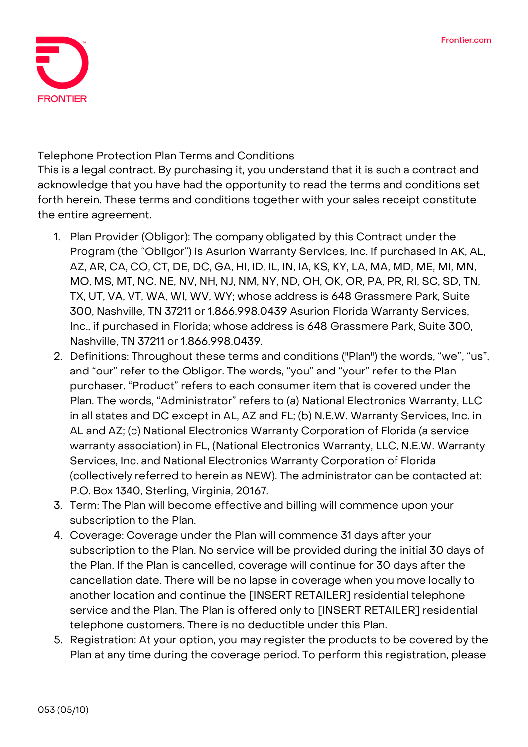

**Telephone Protection Plan Terms and Conditions**

This is a legal contract. By purchasing it, you understand that it is such a contract and acknowledge that you have had the opportunity to read the terms and conditions set forth herein. These terms and conditions together with your sales receipt constitute the entire agreement.

- 1. **Plan Provider (Obligor):** The company obligated by this Contract under the Program (the "Obligor") is Asurion Warranty Services, Inc. if purchased in AK, AL, AZ, AR, CA, CO, CT, DE, DC, GA, HI, ID, IL, IN, IA, KS, KY, LA, MA, MD, ME, MI, MN, MO, MS, MT, NC, NE, NV, NH, NJ, NM, NY, ND, OH, OK, OR, PA, PR, RI, SC, SD, TN, TX, UT, VA, VT, WA, WI, WV, WY; whose address is 648 Grassmere Park, Suite 300, Nashville, TN 37211 or 1.866.998.0439 Asurion Florida Warranty Services, Inc., if purchased in Florida; whose address is 648 Grassmere Park, Suite 300, Nashville, TN 37211 or 1.866.998.0439.
- 2. **Definitions:** Throughout these terms and conditions ("Plan") the words, "we", "us", and "our" refer to the Obligor. The words, "you" and "your" refer to the Plan purchaser. "Product" refers to each consumer item that is covered under the Plan. The words, "Administrator" refers to (a) National Electronics Warranty, LLC in all states and DC except in AL, AZ and FL; (b) N.E.W. Warranty Services, Inc. in AL and AZ; (c) National Electronics Warranty Corporation of Florida (a service warranty association) in FL, (National Electronics Warranty, LLC, N.E.W. Warranty Services, Inc. and National Electronics Warranty Corporation of Florida (collectively referred to herein as NEW). The administrator can be contacted at: P.O. Box 1340, Sterling, Virginia, 20167.
- 3. **Term:** The Plan will become effective and billing will commence upon your subscription to the Plan.
- 4. **Coverage:** Coverage under the Plan will commence 31 days after your subscription to the Plan. No service will be provided during the initial 30 days of the Plan. If the Plan is cancelled, coverage will continue for 30 days after the cancellation date. There will be no lapse in coverage when you move locally to another location and continue the [INSERT RETAILER] residential telephone service and the Plan. The Plan is offered only to [INSERT RETAILER] residential telephone customers. There is no deductible under this Plan.
- 5. **Registration:** At your option, you may register the products to be covered by the Plan at any time during the coverage period. To perform this registration, please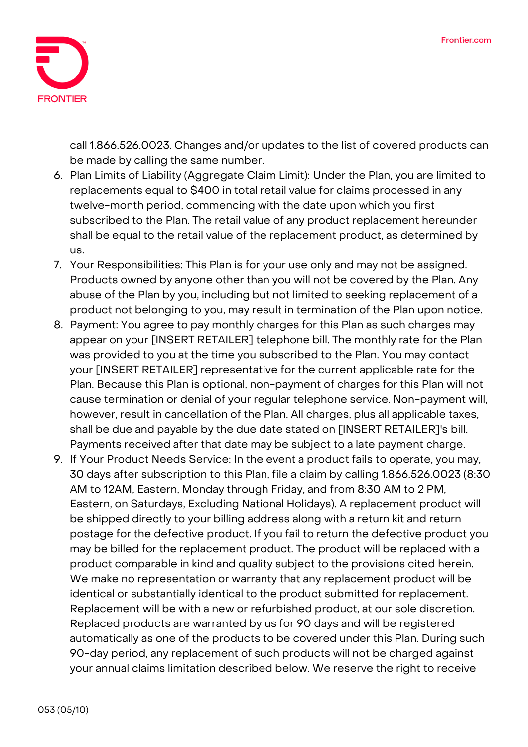

call 1.866.526.0023. Changes and/or updates to the list of covered products can be made by calling the same number.

- 6. **Plan Limits of Liability (Aggregate Claim Limit):** Under the Plan, you are limited to replacements equal to \$400 in total retail value for claims processed in any twelve-month period, commencing with the date upon which you first subscribed to the Plan. The retail value of any product replacement hereunder shall be equal to the retail value of the replacement product, as determined by us.
- 7. **Your Responsibilities:** This Plan is for your use only and may not be assigned. Products owned by anyone other than you will not be covered by the Plan. Any abuse of the Plan by you, including but not limited to seeking replacement of a product not belonging to you, may result in termination of the Plan upon notice.
- 8. **Payment:** You agree to pay monthly charges for this Plan as such charges may appear on your [INSERT RETAILER] telephone bill. The monthly rate for the Plan was provided to you at the time you subscribed to the Plan. You may contact your [INSERT RETAILER] representative for the current applicable rate for the Plan. Because this Plan is optional, non-payment of charges for this Plan will not cause termination or denial of your regular telephone service. Non-payment will, however, result in cancellation of the Plan. All charges, plus all applicable taxes, shall be due and payable by the due date stated on [INSERT RETAILER]'s bill. Payments received after that date may be subject to a late payment charge.
- 9. **If Your Product Needs Service:** In the event a product fails to operate, you may, 30 days after subscription to this Plan, file a claim by calling 1.866.526.0023 (8:30 AM to 12AM, Eastern, Monday through Friday, and from 8:30 AM to 2 PM, Eastern, on Saturdays, Excluding National Holidays). A replacement product will be shipped directly to your billing address along with a return kit and return postage for the defective product. If you fail to return the defective product you may be billed for the replacement product. The product will be replaced with a product comparable in kind and quality subject to the provisions cited herein. We make no representation or warranty that any replacement product will be identical or substantially identical to the product submitted for replacement. Replacement will be with a new or refurbished product, at our sole discretion. Replaced products are warranted by us for 90 days and will be registered automatically as one of the products to be covered under this Plan. During such 90-day period, any replacement of such products will not be charged against your annual claims limitation described below. We reserve the right to receive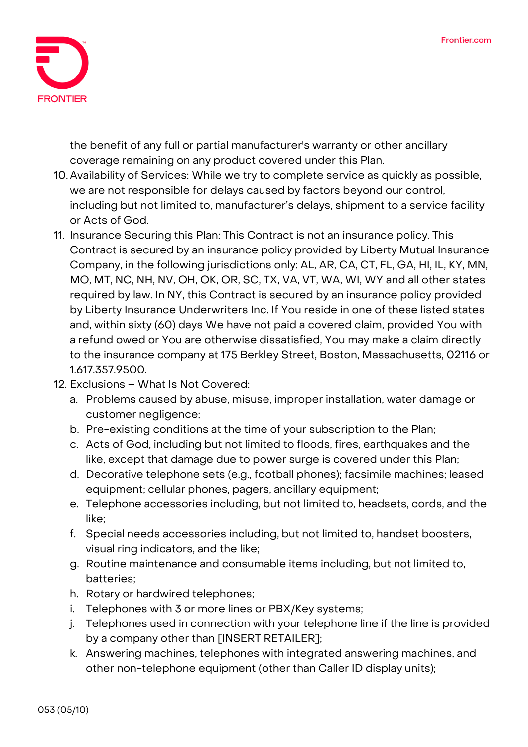

the benefit of any full or partial manufacturer's warranty or other ancillary coverage remaining on any product covered under this Plan.

- 10. **Availability of Services:** While we try to complete service as quickly as possible, we are not responsible for delays caused by factors beyond our control, including but not limited to, manufacturer's delays, shipment to a service facility or Acts of God.
- 11. **Insurance Securing this Plan:** This Contract is not an insurance policy. This Contract is secured by an insurance policy provided by Liberty Mutual Insurance Company, in the following jurisdictions only: AL, AR, CA, CT, FL, GA, HI, IL, KY, MN, MO, MT, NC, NH, NV, OH, OK, OR, SC, TX, VA, VT, WA, WI, WY and all other states required by law. In NY, this Contract is secured by an insurance policy provided by Liberty Insurance Underwriters Inc. If You reside in one of these listed states and, within sixty (60) days We have not paid a covered claim, provided You with a refund owed or You are otherwise dissatisfied, You may make a claim directly to the insurance company at 175 Berkley Street, Boston, Massachusetts, 02116 or 1.617.357.9500.
- **12. Exclusions – What Is Not Covered:**
	- a. Problems caused by abuse, misuse, improper installation, water damage or customer negligence;
	- b. Pre-existing conditions at the time of your subscription to the Plan;
	- c. Acts of God, including but not limited to floods, fires, earthquakes and the like, except that damage due to power surge is covered under this Plan;
	- d. Decorative telephone sets (e.g., football phones); facsimile machines; leased equipment; cellular phones, pagers, ancillary equipment;
	- e. Telephone accessories including, but not limited to, headsets, cords, and the like;
	- f. Special needs accessories including, but not limited to, handset boosters, visual ring indicators, and the like;
	- g. Routine maintenance and consumable items including, but not limited to, batteries;
	- h. Rotary or hardwired telephones;
	- i. Telephones with 3 or more lines or PBX/Key systems;
	- j. Telephones used in connection with your telephone line if the line is provided by a company other than [INSERT RETAILER];
	- k. Answering machines, telephones with integrated answering machines, and other non-telephone equipment (other than Caller ID display units);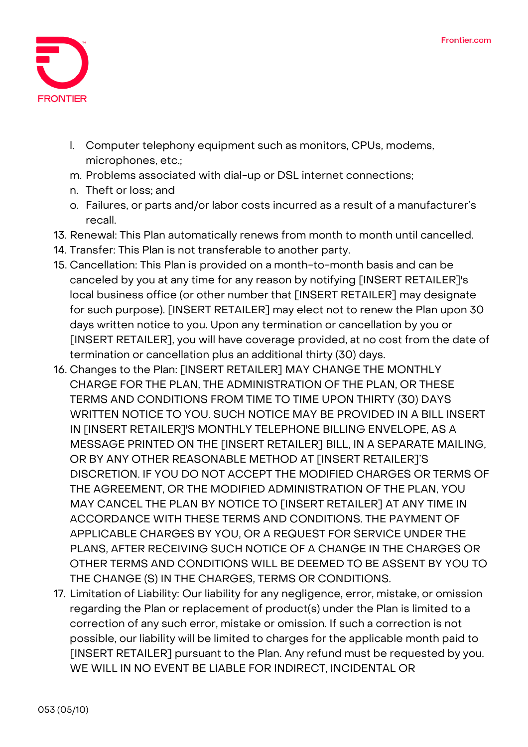

- l. Computer telephony equipment such as monitors, CPUs, modems, microphones, etc.;
- m. Problems associated with dial-up or DSL internet connections;
- n. Theft or loss; and
- o. Failures, or parts and/or labor costs incurred as a result of a manufacturer's recall.
- 13. **Renewal:** This Plan automatically renews from month to month until cancelled.
- 14. **Transfer:** This Plan is not transferable to another party.
- 15. **Cancellation:** This Plan is provided on a month-to-month basis and can be canceled by you at any time for any reason by notifying [INSERT RETAILER]'s local business office (or other number that [INSERT RETAILER] may designate for such purpose). [INSERT RETAILER] may elect not to renew the Plan upon 30 days written notice to you. Upon any termination or cancellation by you or [INSERT RETAILER], you will have coverage provided, at no cost from the date of termination or cancellation plus an additional thirty (30) days.
- 16. **Changes to the Plan:** [INSERT RETAILER] MAY CHANGE THE MONTHLY CHARGE FOR THE PLAN, THE ADMINISTRATION OF THE PLAN, OR THESE TERMS AND CONDITIONS FROM TIME TO TIME UPON THIRTY (30) DAYS WRITTEN NOTICE TO YOU. SUCH NOTICE MAY BE PROVIDED IN A BILL INSERT IN [INSERT RETAILER]'S MONTHLY TELEPHONE BILLING ENVELOPE, AS A MESSAGE PRINTED ON THE [INSERT RETAILER] BILL, IN A SEPARATE MAILING, OR BY ANY OTHER REASONABLE METHOD AT [INSERT RETAILER]'S DISCRETION. IF YOU DO NOT ACCEPT THE MODIFIED CHARGES OR TERMS OF THE AGREEMENT, OR THE MODIFIED ADMINISTRATION OF THE PLAN, YOU MAY CANCEL THE PLAN BY NOTICE TO [INSERT RETAILER] AT ANY TIME IN ACCORDANCE WITH THESE TERMS AND CONDITIONS. THE PAYMENT OF APPLICABLE CHARGES BY YOU, OR A REQUEST FOR SERVICE UNDER THE PLANS, AFTER RECEIVING SUCH NOTICE OF A CHANGE IN THE CHARGES OR OTHER TERMS AND CONDITIONS WILL BE DEEMED TO BE ASSENT BY YOU TO THE CHANGE (S) IN THE CHARGES, TERMS OR CONDITIONS.
- 17. **Limitation of Liability:** Our liability for any negligence, error, mistake, or omission regarding the Plan or replacement of product(s) under the Plan is limited to a correction of any such error, mistake or omission. If such a correction is not possible, our liability will be limited to charges for the applicable month paid to [INSERT RETAILER] pursuant to the Plan. Any refund must be requested by you. WE WILL IN NO EVENT BE LIABLE FOR INDIRECT, INCIDENTAL OR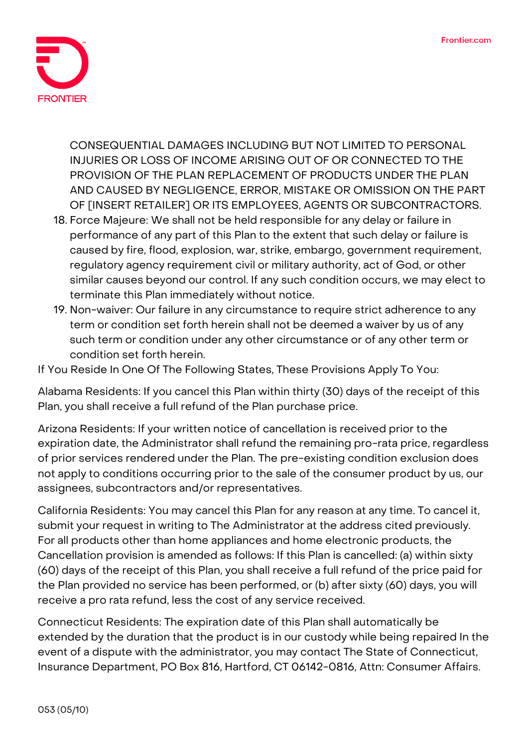

CONSEQUENTIAL DAMAGES INCLUDING BUT NOT LIMITED TO PERSONAL INJURIES OR LOSS OF INCOME ARISING OUT OF OR CONNECTED TO THE PROVISION OF THE PLAN REPLACEMENT OF PRODUCTS UNDER THE PLAN AND CAUSED BY NEGLIGENCE, ERROR, MISTAKE OR OMISSION ON THE PART OF [INSERT RETAILER] OR ITS EMPLOYEES, AGENTS OR SUBCONTRACTORS.

- 18. **Force Majeure:** We shall not be held responsible for any delay or failure in performance of any part of this Plan to the extent that such delay or failure is caused by fire, flood, explosion, war, strike, embargo, government requirement, regulatory agency requirement civil or military authority, act of God, or other similar causes beyond our control. If any such condition occurs, we may elect to terminate this Plan immediately without notice.
- 19. **Non-waiver:** Our failure in any circumstance to require strict adherence to any term or condition set forth herein shall not be deemed a waiver by us of any such term or condition under any other circumstance or of any other term or condition set forth herein.

**If You Reside In One Of The Following States, These Provisions Apply To You:**

**Alabama Residents:** If you cancel this Plan within thirty (30) days of the receipt of this Plan, you shall receive a full refund of the Plan purchase price.

**Arizona Residents:** If your written notice of cancellation is received prior to the expiration date, the Administrator shall refund the remaining pro-rata price, regardless of prior services rendered under the Plan. The pre-existing condition exclusion does not apply to conditions occurring prior to the sale of the consumer product by us, our assignees, subcontractors and/or representatives.

**California Residents:** You may cancel this Plan for any reason at any time. To cancel it, submit your request in writing to The Administrator at the address cited previously. For all products other than home appliances and home electronic products, the Cancellation provision is amended as follows: If this Plan is cancelled: (a) within sixty (60) days of the receipt of this Plan, you shall receive a full refund of the price paid for the Plan provided no service has been performed, or (b) after sixty (60) days, you will receive a pro rata refund, less the cost of any service received.

**Connecticut Residents:** The expiration date of this Plan shall automatically be extended by the duration that the product is in our custody while being repaired In the event of a dispute with the administrator, you may contact The State of Connecticut, Insurance Department, PO Box 816, Hartford, CT 06142-0816, Attn: Consumer Affairs.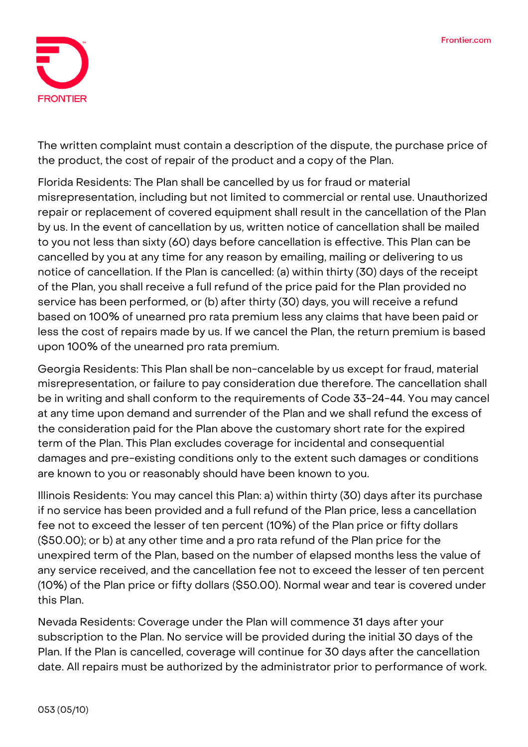

The written complaint must contain a description of the dispute, the purchase price of the product, the cost of repair of the product and a copy of the Plan.

**Florida Residents:** The Plan shall be cancelled by us for fraud or material misrepresentation, including but not limited to commercial or rental use. Unauthorized repair or replacement of covered equipment shall result in the cancellation of the Plan by us. In the event of cancellation by us, written notice of cancellation shall be mailed to you not less than sixty (60) days before cancellation is effective. This Plan can be cancelled by you at any time for any reason by emailing, mailing or delivering to us notice of cancellation. If the Plan is cancelled: (a) within thirty (30) days of the receipt of the Plan, you shall receive a full refund of the price paid for the Plan provided no service has been performed, or (b) after thirty (30) days, you will receive a refund based on 100% of unearned pro rata premium less any claims that have been paid or less the cost of repairs made by us. If we cancel the Plan, the return premium is based upon 100% of the unearned pro rata premium.

**Georgia Residents:** This Plan shall be non-cancelable by us except for fraud, material misrepresentation, or failure to pay consideration due therefore. The cancellation shall be in writing and shall conform to the requirements of Code 33-24-44. You may cancel at any time upon demand and surrender of the Plan and we shall refund the excess of the consideration paid for the Plan above the customary short rate for the expired term of the Plan. This Plan excludes coverage for incidental and consequential damages and pre-existing conditions only to the extent such damages or conditions are known to you or reasonably should have been known to you.

**Illinois Residents:** You may cancel this Plan: a) within thirty (30) days after its purchase if no service has been provided and a full refund of the Plan price, less a cancellation fee not to exceed the lesser of ten percent (10%) of the Plan price or fifty dollars (\$50.00); or b) at any other time and a pro rata refund of the Plan price for the unexpired term of the Plan, based on the number of elapsed months less the value of any service received, and the cancellation fee not to exceed the lesser of ten percent (10%) of the Plan price or fifty dollars (\$50.00). Normal wear and tear is covered under this Plan.

**Nevada Residents: Coverage under the Plan will commence 31 days after your subscription to the Plan. No service will be provided during the initial 30 days of the Plan. If the Plan is cancelled, coverage will continue for 30 days after the cancellation date.** All repairs must be authorized by the administrator prior to performance of work.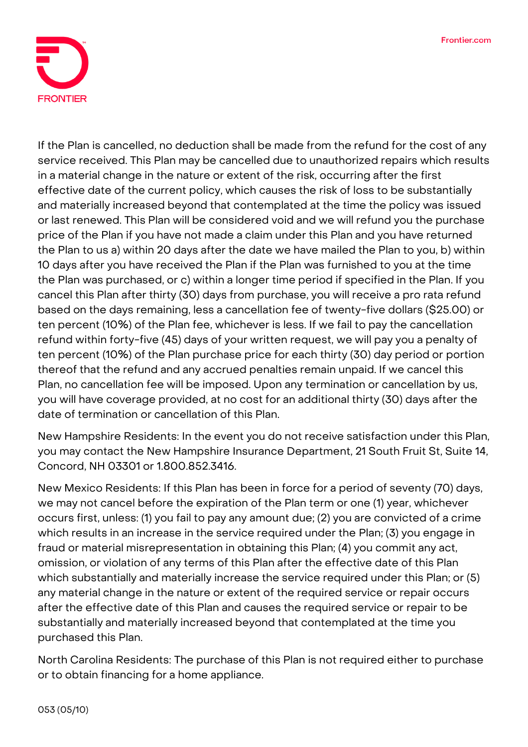

If the Plan is cancelled, no deduction shall be made from the refund for the cost of any service received. This Plan may be cancelled due to unauthorized repairs which results in a material change in the nature or extent of the risk, occurring after the first effective date of the current policy, which causes the risk of loss to be substantially and materially increased beyond that contemplated at the time the policy was issued or last renewed. This Plan will be considered void and we will refund you the purchase price of the Plan if you have not made a claim under this Plan and you have returned the Plan to us a) within 20 days after the date we have mailed the Plan to you, b) within 10 days after you have received the Plan if the Plan was furnished to you at the time the Plan was purchased, or c) within a longer time period if specified in the Plan. If you cancel this Plan after thirty (30) days from purchase, you will receive a pro rata refund based on the days remaining, less a cancellation fee of twenty-five dollars (\$25.00) or ten percent (10%) of the Plan fee, whichever is less. If we fail to pay the cancellation refund within forty-five (45) days of your written request, we will pay you a penalty of ten percent (10%) of the Plan purchase price for each thirty (30) day period or portion thereof that the refund and any accrued penalties remain unpaid. If we cancel this Plan, no cancellation fee will be imposed. Upon any termination or cancellation by us, you will have coverage provided, at no cost for an additional thirty (30) days after the date of termination or cancellation of this Plan.

**New Hampshire Residents:** In the event you do not receive satisfaction under this Plan, you may contact the New Hampshire Insurance Department, 21 South Fruit St, Suite 14, Concord, NH 03301 or 1.800.852.3416.

**New Mexico Residents:** If this Plan has been in force for a period of seventy (70) days, we may not cancel before the expiration of the Plan term or one (1) year, whichever occurs first, unless: (1) you fail to pay any amount due; (2) you are convicted of a crime which results in an increase in the service required under the Plan; (3) you engage in fraud or material misrepresentation in obtaining this Plan; (4) you commit any act, omission, or violation of any terms of this Plan after the effective date of this Plan which substantially and materially increase the service required under this Plan; or (5) any material change in the nature or extent of the required service or repair occurs after the effective date of this Plan and causes the required service or repair to be substantially and materially increased beyond that contemplated at the time you purchased this Plan.

**North Carolina Residents:** The purchase of this Plan is not required either to purchase or to obtain financing for a home appliance.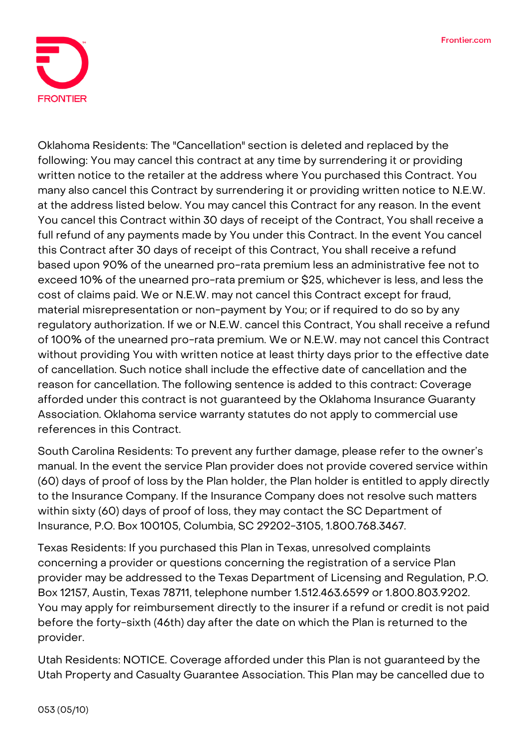

**Oklahoma Residents:** The "Cancellation" section is deleted and replaced by the following: You may cancel this contract at any time by surrendering it or providing written notice to the retailer at the address where You purchased this Contract. You many also cancel this Contract by surrendering it or providing written notice to N.E.W. at the address listed below. You may cancel this Contract for any reason. In the event You cancel this Contract within 30 days of receipt of the Contract, You shall receive a full refund of any payments made by You under this Contract. In the event You cancel this Contract after 30 days of receipt of this Contract, You shall receive a refund based upon 90% of the unearned pro-rata premium less an administrative fee not to exceed 10% of the unearned pro-rata premium or \$25, whichever is less, and less the cost of claims paid. We or N.E.W. may not cancel this Contract except for fraud, material misrepresentation or non-payment by You; or if required to do so by any regulatory authorization. If we or N.E.W. cancel this Contract, You shall receive a refund of 100% of the unearned pro-rata premium. We or N.E.W. may not cancel this Contract without providing You with written notice at least thirty days prior to the effective date of cancellation. Such notice shall include the effective date of cancellation and the reason for cancellation. The following sentence is added to this contract: Coverage afforded under this contract is not guaranteed by the Oklahoma Insurance Guaranty Association. Oklahoma service warranty statutes do not apply to commercial use references in this Contract.

**South Carolina Residents:** To prevent any further damage, please refer to the owner's manual. In the event the service Plan provider does not provide covered service within (60) days of proof of loss by the Plan holder, the Plan holder is entitled to apply directly to the Insurance Company. If the Insurance Company does not resolve such matters within sixty (60) days of proof of loss, they may contact the SC Department of Insurance, P.O. Box 100105, Columbia, SC 29202-3105, 1.800.768.3467.

**Texas Residents:** If you purchased this Plan in Texas, unresolved complaints concerning a provider or questions concerning the registration of a service Plan provider may be addressed to the Texas Department of Licensing and Regulation, P.O. Box 12157, Austin, Texas 78711, telephone number 1.512.463.6599 or 1.800.803.9202. You may apply for reimbursement directly to the insurer if a refund or credit is not paid before the forty-sixth (46th) day after the date on which the Plan is returned to the provider.

**Utah Residents: NOTICE.** Coverage afforded under this Plan is not guaranteed by the Utah Property and Casualty Guarantee Association. This Plan may be cancelled due to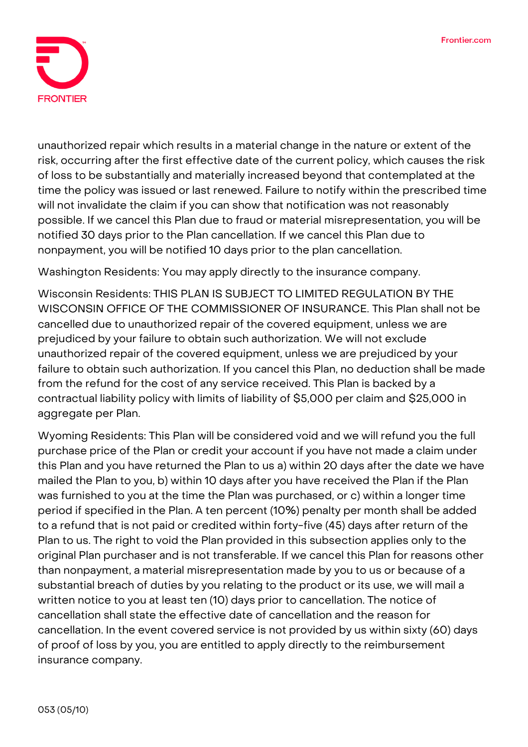

unauthorized repair which results in a material change in the nature or extent of the risk, occurring after the first effective date of the current policy, which causes the risk of loss to be substantially and materially increased beyond that contemplated at the time the policy was issued or last renewed. Failure to notify within the prescribed time will not invalidate the claim if you can show that notification was not reasonably possible. If we cancel this Plan due to fraud or material misrepresentation, you will be notified 30 days prior to the Plan cancellation. If we cancel this Plan due to nonpayment, you will be notified 10 days prior to the plan cancellation.

**Washington Residents:** You may apply directly to the insurance company.

**Wisconsin Residents: THIS PLAN IS SUBJECT TO LIMITED REGULATION BY THE WISCONSIN OFFICE OF THE COMMISSIONER OF INSURANCE.** This Plan shall not be cancelled due to unauthorized repair of the covered equipment, unless we are prejudiced by your failure to obtain such authorization. We will not exclude unauthorized repair of the covered equipment, unless we are prejudiced by your failure to obtain such authorization. If you cancel this Plan, no deduction shall be made from the refund for the cost of any service received. This Plan is backed by a contractual liability policy with limits of liability of \$5,000 per claim and \$25,000 in aggregate per Plan.

**Wyoming Residents:** This Plan will be considered void and we will refund you the full purchase price of the Plan or credit your account if you have not made a claim under this Plan and you have returned the Plan to us a) within 20 days after the date we have mailed the Plan to you, b) within 10 days after you have received the Plan if the Plan was furnished to you at the time the Plan was purchased, or c) within a longer time period if specified in the Plan. A ten percent (10%) penalty per month shall be added to a refund that is not paid or credited within forty-five (45) days after return of the Plan to us. The right to void the Plan provided in this subsection applies only to the original Plan purchaser and is not transferable. If we cancel this Plan for reasons other than nonpayment, a material misrepresentation made by you to us or because of a substantial breach of duties by you relating to the product or its use, we will mail a written notice to you at least ten (10) days prior to cancellation. The notice of cancellation shall state the effective date of cancellation and the reason for cancellation. In the event covered service is not provided by us within sixty (60) days of proof of loss by you, you are entitled to apply directly to the reimbursement insurance company.